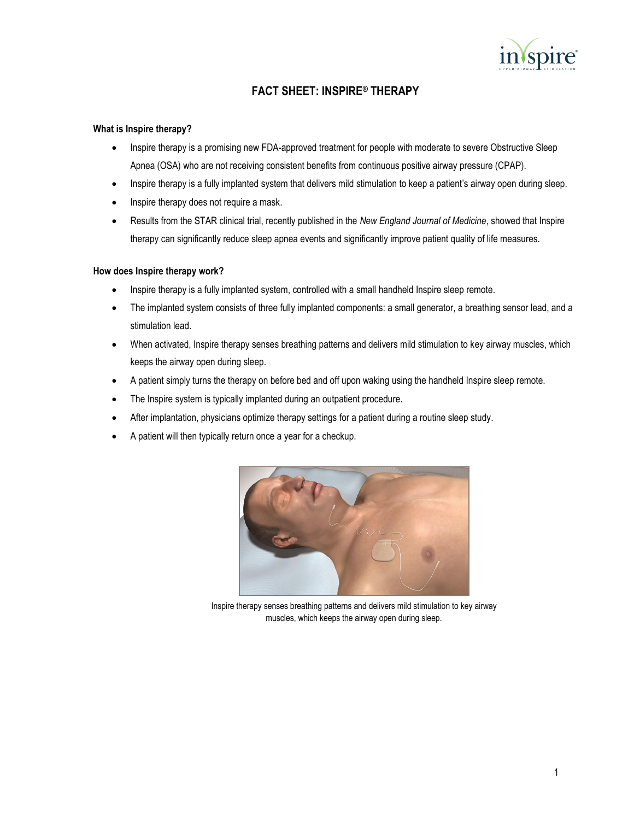

# **FACT SHEET: INSPIRE® THERAPY**

#### **What is Inspire therapy?**

- Inspire therapy is a promising new FDA-approved treatment for people with moderate to severe Obstructive Sleep Apnea (OSA) who are not receiving consistent benefits from continuous positive airway pressure (CPAP).
- Inspire therapy is a fully implanted system that delivers mild stimulation to keep a patient's airway open during sleep.
- Inspire therapy does not require a mask.
- Results from the STAR clinical trial, recently published in the *New England Journal of Medicine*, showed that Inspire therapy can significantly reduce sleep apnea events and significantly improve patient quality of life measures.

#### **How does Inspire therapy work?**

- Inspire therapy is a fully implanted system, controlled with a small handheld Inspire sleep remote.
- The implanted system consists of three fully implanted components: a small generator, a breathing sensor lead, and a stimulation lead.
- When activated, Inspire therapy senses breathing patterns and delivers mild stimulation to key airway muscles, which keeps the airway open during sleep.
- A patient simply turns the therapy on before bed and off upon waking using the handheld Inspire sleep remote.
- The Inspire system is typically implanted during an outpatient procedure.
- After implantation, physicians optimize therapy settings for a patient during a routine sleep study.
- A patient will then typically return once a year for a checkup.



Inspire therapy senses breathing patterns and delivers mild stimulation to key airway muscles, which keeps the airway open during sleep.